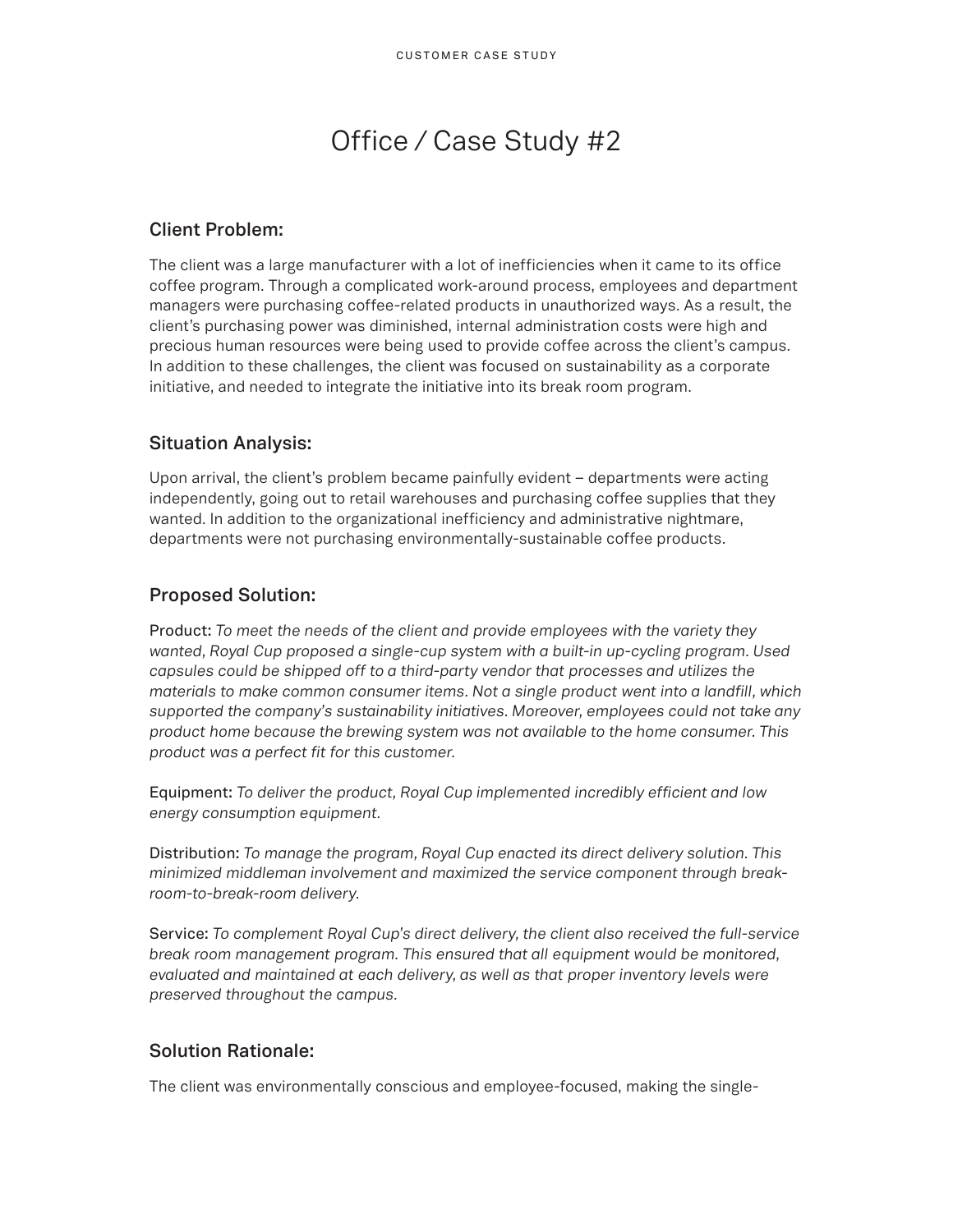# Office / Case Study #2

## **Client Problem:**

The client was a large manufacturer with a lot of inefficiencies when it came to its office coffee program. Through a complicated work-around process, employees and department managers were purchasing coffee-related products in unauthorized ways. As a result, the client's purchasing power was diminished, internal administration costs were high and precious human resources were being used to provide coffee across the client's campus. In addition to these challenges, the client was focused on sustainability as a corporate initiative, and needed to integrate the initiative into its break room program.

#### **Situation Analysis:**

Upon arrival, the client's problem became painfully evident – departments were acting independently, going out to retail warehouses and purchasing coffee supplies that they wanted. In addition to the organizational inefficiency and administrative nightmare, departments were not purchasing environmentally-sustainable coffee products.

## **Proposed Solution:**

Product: *To meet the needs of the client and provide employees with the variety they wanted, Royal Cup proposed a single-cup system with a built-in up-cycling program. Used capsules could be shipped off to a third-party vendor that processes and utilizes the materials to make common consumer items. Not a single product went into a landfill, which supported the company's sustainability initiatives. Moreover, employees could not take any product home because the brewing system was not available to the home consumer. This product was a perfect fit for this customer.*

Equipment: *To deliver the product, Royal Cup implemented incredibly efficient and low energy consumption equipment.*

Distribution: *To manage the program, Royal Cup enacted its direct delivery solution. This minimized middleman involvement and maximized the service component through breakroom-to-break-room delivery.*

Service: *To complement Royal Cup's direct delivery, the client also received the full-service break room management program. This ensured that all equipment would be monitored, evaluated and maintained at each delivery, as well as that proper inventory levels were preserved throughout the campus.*

#### **Solution Rationale:**

The client was environmentally conscious and employee-focused, making the single-